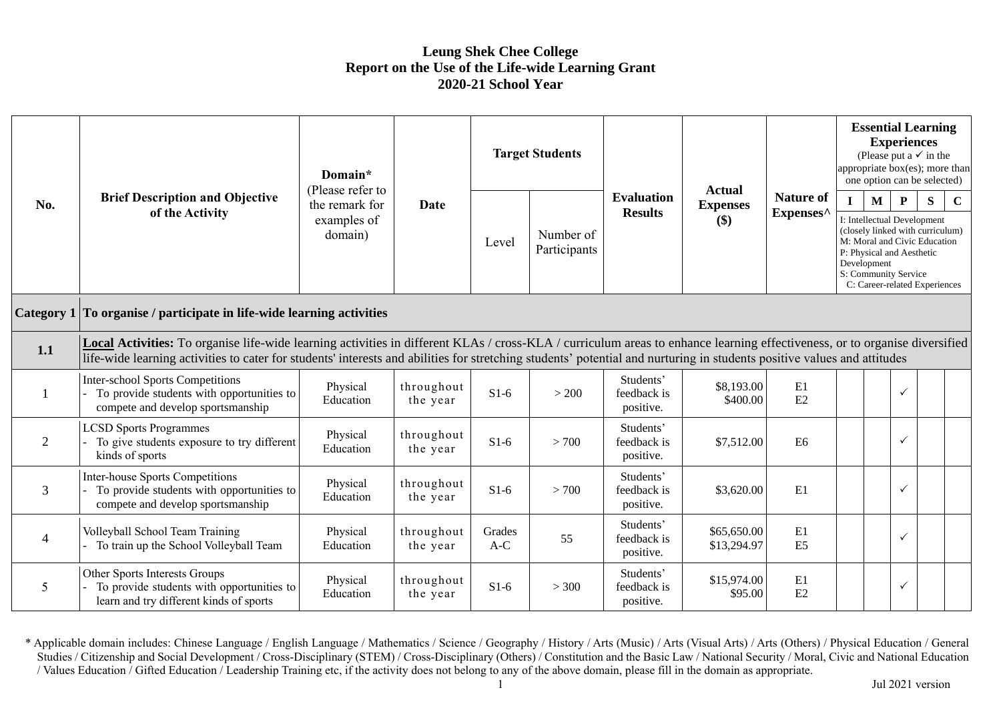## **Leung Shek Chee College Report on the Use of the Life-wide Learning Grant 2020-21 School Year**

| No.               | <b>Brief Description and Objective</b><br>of the Activity                                                                                                                                                                                                                                                                                             | Domain*<br>(Please refer to<br>the remark for<br>examples of<br>domain) | Date                   |                 | <b>Target Students</b>    |                                       | <b>Actual</b><br><b>Expenses</b><br>\$) |                               | <b>Essential Learning</b><br><b>Experiences</b><br>(Please put a $\checkmark$ in the<br>appropriate box(es); more than<br>one option can be selected)                                                                                                        |  |              |  |  |
|-------------------|-------------------------------------------------------------------------------------------------------------------------------------------------------------------------------------------------------------------------------------------------------------------------------------------------------------------------------------------------------|-------------------------------------------------------------------------|------------------------|-----------------|---------------------------|---------------------------------------|-----------------------------------------|-------------------------------|--------------------------------------------------------------------------------------------------------------------------------------------------------------------------------------------------------------------------------------------------------------|--|--------------|--|--|
|                   |                                                                                                                                                                                                                                                                                                                                                       |                                                                         |                        | Level           | Number of<br>Participants | <b>Evaluation</b><br><b>Results</b>   |                                         | <b>Nature of</b><br>Expenses^ | $\mathbf C$<br>$\mathbf I$<br>M<br>$\mathbf{P}$<br>S<br>I: Intellectual Development<br>(closely linked with curriculum)<br>M: Moral and Civic Education<br>P: Physical and Aesthetic<br>Development<br>S: Community Service<br>C: Career-related Experiences |  |              |  |  |
| <b>Category 1</b> | To organise / participate in life-wide learning activities                                                                                                                                                                                                                                                                                            |                                                                         |                        |                 |                           |                                       |                                         |                               |                                                                                                                                                                                                                                                              |  |              |  |  |
| 1.1               | Local Activities: To organise life-wide learning activities in different KLAs / cross-KLA / curriculum areas to enhance learning effectiveness, or to organise diversified<br>life-wide learning activities to cater for students' interests and abilities for stretching students' potential and nurturing in students positive values and attitudes |                                                                         |                        |                 |                           |                                       |                                         |                               |                                                                                                                                                                                                                                                              |  |              |  |  |
|                   | <b>Inter-school Sports Competitions</b><br>To provide students with opportunities to<br>compete and develop sportsmanship                                                                                                                                                                                                                             | Physical<br>Education                                                   | throughout<br>the year | $S1-6$          | > 200                     | Students'<br>feedback is<br>positive. | \$8,193.00<br>\$400.00                  | E1<br>E2                      |                                                                                                                                                                                                                                                              |  | $\checkmark$ |  |  |
| $\overline{2}$    | <b>LCSD Sports Programmes</b><br>To give students exposure to try different<br>kinds of sports                                                                                                                                                                                                                                                        | Physical<br>Education                                                   | throughout<br>the year | $S1-6$          | > 700                     | Students'<br>feedback is<br>positive. | \$7,512.00                              | E <sub>6</sub>                |                                                                                                                                                                                                                                                              |  | $\checkmark$ |  |  |
| $\mathfrak{Z}$    | Inter-house Sports Competitions<br>To provide students with opportunities to<br>compete and develop sportsmanship                                                                                                                                                                                                                                     | Physical<br>Education                                                   | throughout<br>the year | $S1-6$          | > 700                     | Students'<br>feedback is<br>positive. | \$3,620.00                              | E1                            |                                                                                                                                                                                                                                                              |  | $\checkmark$ |  |  |
| $\overline{4}$    | Volleyball School Team Training<br>To train up the School Volleyball Team                                                                                                                                                                                                                                                                             | Physical<br>Education                                                   | throughout<br>the year | Grades<br>$A-C$ | 55                        | Students'<br>feedback is<br>positive. | \$65,650.00<br>\$13,294.97              | E1<br>E <sub>5</sub>          |                                                                                                                                                                                                                                                              |  | $\checkmark$ |  |  |
| $\mathfrak{S}$    | Other Sports Interests Groups<br>To provide students with opportunities to<br>learn and try different kinds of sports                                                                                                                                                                                                                                 | Physical<br>Education                                                   | throughout<br>the year | $S1-6$          | > 300                     | Students'<br>feedback is<br>positive. | \$15,974.00<br>\$95.00                  | E1<br>E2                      |                                                                                                                                                                                                                                                              |  | $\checkmark$ |  |  |

\* Applicable domain includes: Chinese Language / English Language / Mathematics / Science / Geography / History / Arts (Music) / Arts (Visual Arts) / Arts (Others) / Physical Education / General Studies / Citizenship and Social Development / Cross-Disciplinary (STEM) / Cross-Disciplinary (Others) / Constitution and the Basic Law / National Security / Moral, Civic and National Education / Values Education / Gifted Education / Leadership Training etc, if the activity does not belong to any of the above domain, please fill in the domain as appropriate.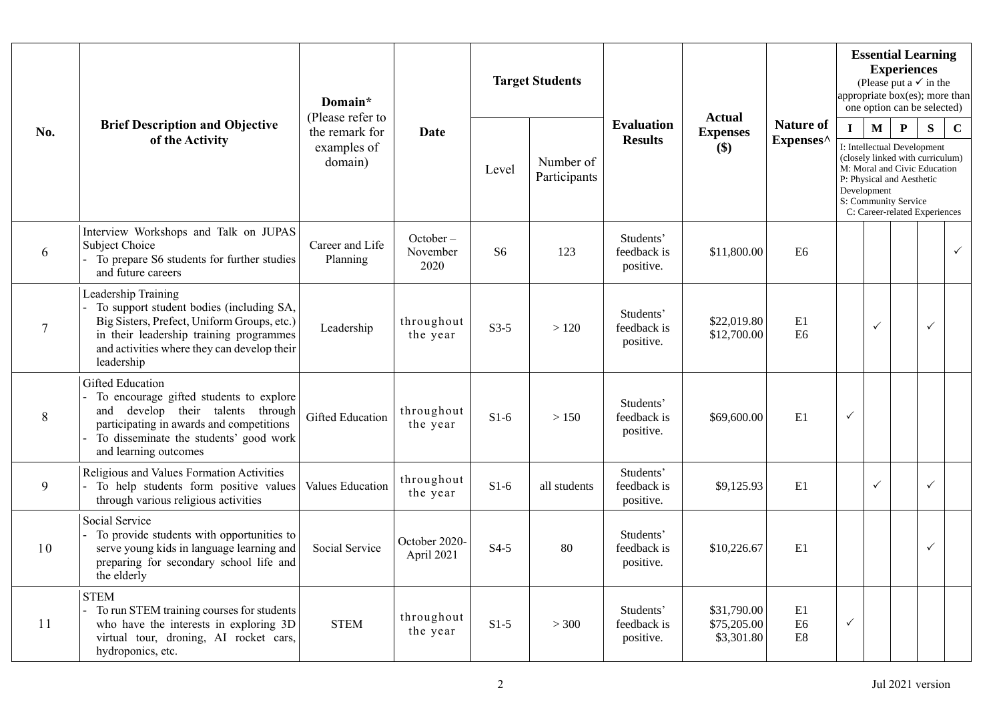| No.             | <b>Brief Description and Objective</b><br>of the Activity                                                                                                                                                              | Domain*<br>(Please refer to<br>the remark for<br>examples of<br>domain) | <b>Date</b>                  |        | <b>Target Students</b>    |                                       | <b>Actual</b><br><b>Expenses</b><br>\$)  |                                       | <b>Essential Learning</b><br><b>Experiences</b><br>(Please put a $\checkmark$ in the<br>appropriate box(es); more than<br>one option can be selected)                                                                                                                  |              |  |              |              |  |
|-----------------|------------------------------------------------------------------------------------------------------------------------------------------------------------------------------------------------------------------------|-------------------------------------------------------------------------|------------------------------|--------|---------------------------|---------------------------------------|------------------------------------------|---------------------------------------|------------------------------------------------------------------------------------------------------------------------------------------------------------------------------------------------------------------------------------------------------------------------|--------------|--|--------------|--------------|--|
|                 |                                                                                                                                                                                                                        |                                                                         |                              | Level  | Number of<br>Participants | <b>Evaluation</b><br><b>Results</b>   |                                          | <b>Nature of</b><br>Expenses^         | $\mathbf M$<br>$\mathbf P$<br>S<br>$\mathbf C$<br>$\mathbf{I}$<br>I: Intellectual Development<br>(closely linked with curriculum)<br>M: Moral and Civic Education<br>P: Physical and Aesthetic<br>Development<br>S: Community Service<br>C: Career-related Experiences |              |  |              |              |  |
| 6               | Interview Workshops and Talk on JUPAS<br><b>Subject Choice</b><br>To prepare S6 students for further studies<br>and future careers                                                                                     | Career and Life<br>Planning                                             | October-<br>November<br>2020 | S6     | 123                       | Students'<br>feedback is<br>positive. | \$11,800.00                              | E <sub>6</sub>                        |                                                                                                                                                                                                                                                                        |              |  |              | $\checkmark$ |  |
| $7\phantom{.0}$ | Leadership Training<br>To support student bodies (including SA,<br>Big Sisters, Prefect, Uniform Groups, etc.)<br>in their leadership training programmes<br>and activities where they can develop their<br>leadership | Leadership                                                              | throughout<br>the year       | $S3-5$ | >120                      | Students'<br>feedback is<br>positive. | \$22,019.80<br>\$12,700.00               | E1<br>E <sub>6</sub>                  |                                                                                                                                                                                                                                                                        | $\checkmark$ |  | $\checkmark$ |              |  |
| 8               | <b>Gifted Education</b><br>To encourage gifted students to explore<br>and develop their talents through<br>participating in awards and competitions<br>To disseminate the students' good work<br>and learning outcomes | <b>Gifted Education</b>                                                 | throughout<br>the year       | $S1-6$ | > 150                     | Students'<br>feedback is<br>positive. | \$69,600.00                              | E1                                    | $\checkmark$                                                                                                                                                                                                                                                           |              |  |              |              |  |
| 9               | Religious and Values Formation Activities<br>To help students form positive values<br>through various religious activities                                                                                             | Values Education                                                        | throughout<br>the year       | $S1-6$ | all students              | Students'<br>feedback is<br>positive. | \$9,125.93                               | E1                                    |                                                                                                                                                                                                                                                                        | $\checkmark$ |  | $\checkmark$ |              |  |
| 10              | Social Service<br>To provide students with opportunities to<br>serve young kids in language learning and<br>preparing for secondary school life and<br>the elderly                                                     | Social Service                                                          | October 2020-<br>April 2021  | $S4-5$ | 80                        | Students'<br>feedback is<br>positive. | \$10,226.67                              | E1                                    |                                                                                                                                                                                                                                                                        |              |  | $\checkmark$ |              |  |
| 11              | <b>STEM</b><br>To run STEM training courses for students<br>who have the interests in exploring 3D<br>virtual tour, droning, AI rocket cars,<br>hydroponics, etc.                                                      | <b>STEM</b>                                                             | throughout<br>the year       | $S1-5$ | > 300                     | Students'<br>feedback is<br>positive. | \$31,790.00<br>\$75,205.00<br>\$3,301.80 | E1<br>E <sub>6</sub><br>$\mathbf{E8}$ | ✓                                                                                                                                                                                                                                                                      |              |  |              |              |  |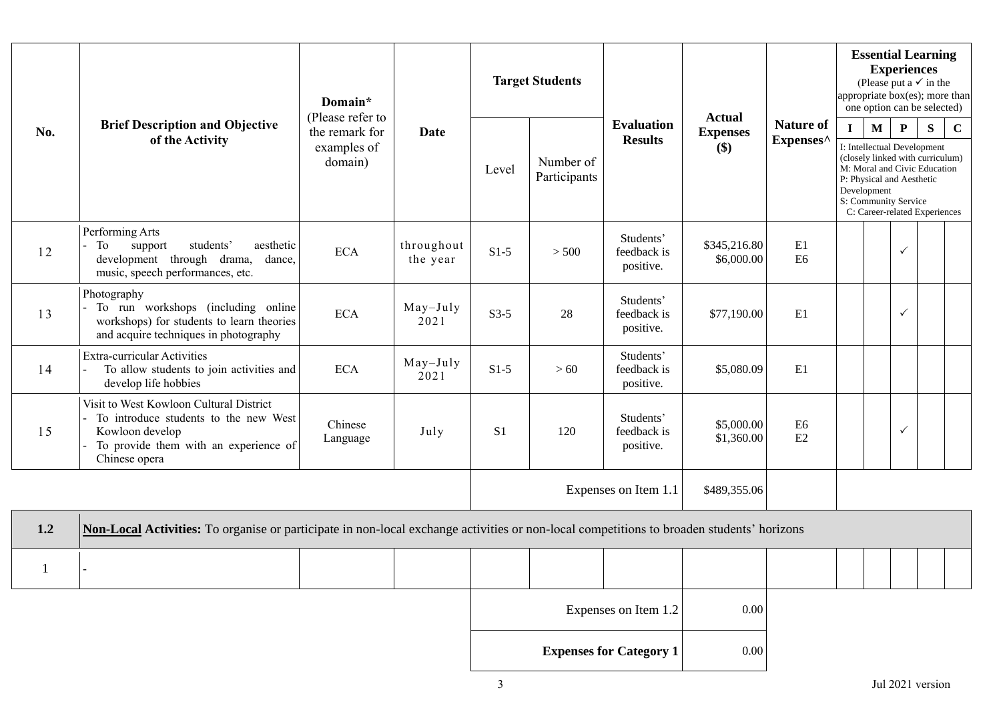|              | <b>Brief Description and Objective</b><br>of the Activity                                                                                                     | Domain*<br>(Please refer to<br>the remark for<br>examples of<br>domain) | <b>Date</b>            |                | <b>Target Students</b> |                                       |                            |                                                | <b>Essential Learning</b><br><b>Experiences</b><br>(Please put a $\checkmark$ in the<br>appropriate box(es); more than<br>one option can be selected) |                                                                                                                                     |              |  |  |  |
|--------------|---------------------------------------------------------------------------------------------------------------------------------------------------------------|-------------------------------------------------------------------------|------------------------|----------------|------------------------|---------------------------------------|----------------------------|------------------------------------------------|-------------------------------------------------------------------------------------------------------------------------------------------------------|-------------------------------------------------------------------------------------------------------------------------------------|--------------|--|--|--|
| No.          |                                                                                                                                                               |                                                                         |                        |                | Number of              | <b>Evaluation</b><br><b>Results</b>   | <b>Expenses</b><br>\$)     | <b>Actual</b><br><b>Nature of</b><br>Expenses^ |                                                                                                                                                       | $\mathbf{P}$<br>$\mathbf{M}$<br>S<br>$\mathbf C$<br>$\mathbf{I}$<br>I: Intellectual Development<br>(closely linked with curriculum) |              |  |  |  |
|              |                                                                                                                                                               |                                                                         |                        | Level          | Participants           |                                       |                            |                                                | M: Moral and Civic Education<br>P: Physical and Aesthetic<br>Development<br>S: Community Service<br>C: Career-related Experiences                     |                                                                                                                                     |              |  |  |  |
| 12           | Performing Arts<br>students'<br>support<br>aesthetic<br>To<br>development through drama, dance,<br>music, speech performances, etc.                           | <b>ECA</b>                                                              | throughout<br>the year | $S1-5$         | > 500                  | Students'<br>feedback is<br>positive. | \$345,216.80<br>\$6,000.00 | E1<br>E <sub>6</sub>                           |                                                                                                                                                       |                                                                                                                                     | $\checkmark$ |  |  |  |
| 13           | Photography<br>- To run workshops (including online<br>workshops) for students to learn theories<br>and acquire techniques in photography                     | <b>ECA</b>                                                              | $May-July$<br>2021     | $S3-5$         | 28                     | Students'<br>feedback is<br>positive. | \$77,190.00                | E1                                             |                                                                                                                                                       |                                                                                                                                     | $\checkmark$ |  |  |  |
| 14           | <b>Extra-curricular Activities</b><br>To allow students to join activities and<br>develop life hobbies                                                        | <b>ECA</b>                                                              | $May-July$<br>2021     | $S1-5$         | >60                    | Students'<br>feedback is<br>positive. | \$5,080.09                 | E1                                             |                                                                                                                                                       |                                                                                                                                     |              |  |  |  |
| 15           | Visit to West Kowloon Cultural District<br>To introduce students to the new West<br>Kowloon develop<br>To provide them with an experience of<br>Chinese opera | Chinese<br>Language                                                     | July                   | S <sub>1</sub> | 120                    | Students'<br>feedback is<br>positive. | \$5,000.00<br>\$1,360.00   | E <sub>6</sub><br>E2                           |                                                                                                                                                       |                                                                                                                                     | $\checkmark$ |  |  |  |
|              |                                                                                                                                                               |                                                                         |                        |                |                        | Expenses on Item 1.1                  | \$489,355.06               |                                                |                                                                                                                                                       |                                                                                                                                     |              |  |  |  |
| 1.2          | Non-Local Activities: To organise or participate in non-local exchange activities or non-local competitions to broaden students' horizons                     |                                                                         |                        |                |                        |                                       |                            |                                                |                                                                                                                                                       |                                                                                                                                     |              |  |  |  |
| $\mathbf{1}$ |                                                                                                                                                               |                                                                         |                        |                |                        |                                       |                            |                                                |                                                                                                                                                       |                                                                                                                                     |              |  |  |  |
|              |                                                                                                                                                               |                                                                         |                        |                |                        | Expenses on Item 1.2                  | 0.00                       |                                                |                                                                                                                                                       |                                                                                                                                     |              |  |  |  |

**Expenses for Category 1** 0.00